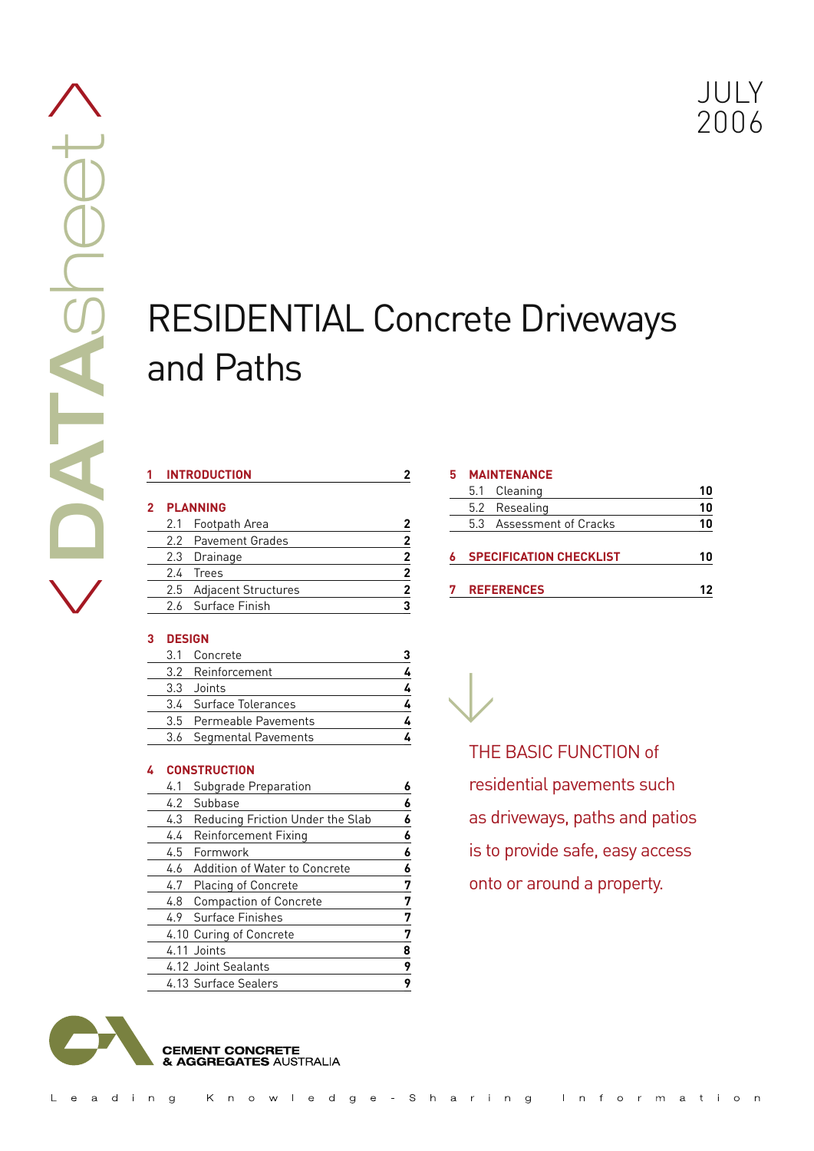# RESIDENTIAL Concrete Driveways and Paths

|  | <b>INTRODUCTION</b><br>2 PLANNING |                         | 2 |
|--|-----------------------------------|-------------------------|---|
|  |                                   |                         |   |
|  |                                   | 2.1 Footpath Area       | 2 |
|  |                                   | 2.2 Pavement Grades     | 2 |
|  |                                   | 2.3 Drainage            | 2 |
|  |                                   | 2.4 Trees               | 2 |
|  |                                   | 2.5 Adjacent Structures | 2 |

# **3 DESIGN**

| 3.1 Concrete            |  |
|-------------------------|--|
| 3.2 Reinforcement       |  |
| 3.3 Joints              |  |
| 3.4 Surface Tolerances  |  |
| 3.5 Permeable Pavements |  |
| 3.6 Segmental Pavements |  |

2.6 Surface Finish **3** 

# **4 CONSTRUCTION**

| 4.1 | Subgrade Preparation             | 6 |
|-----|----------------------------------|---|
| 4.2 | Subbase                          | 6 |
| 4.3 | Reducing Friction Under the Slab | 6 |
| 4.4 | <b>Reinforcement Fixing</b>      | 6 |
| 4.5 | Formwork                         | 6 |
| 4.6 | Addition of Water to Concrete    | 6 |
| 4.7 | <b>Placing of Concrete</b>       | 7 |
| 4.8 | <b>Compaction of Concrete</b>    | 7 |
|     | 4.9 Surface Finishes             | 7 |
|     | 4.10 Curing of Concrete          | 7 |
|     | 4.11 Joints                      | 8 |
|     | 4.12 Joint Sealants              | 9 |
|     | 4.13 Surface Sealers             | 9 |

| 5 | <b>MAINTENANCE</b>             |                          |    |
|---|--------------------------------|--------------------------|----|
|   | 5.1                            | Cleaning                 | 10 |
|   |                                | 5.2 Resealing            | 10 |
|   |                                | 5.3 Assessment of Cracks | 10 |
|   | <b>SPECIFICATION CHECKLIST</b> | 10                       |    |
|   | <b>REFERENCES</b>              |                          |    |



The basic function of residential pavements such as driveways, paths and patios is to provide safe, easy access onto or around a property.



#### **CEMENT CONCRETE** GGREGATES AUSTRALIA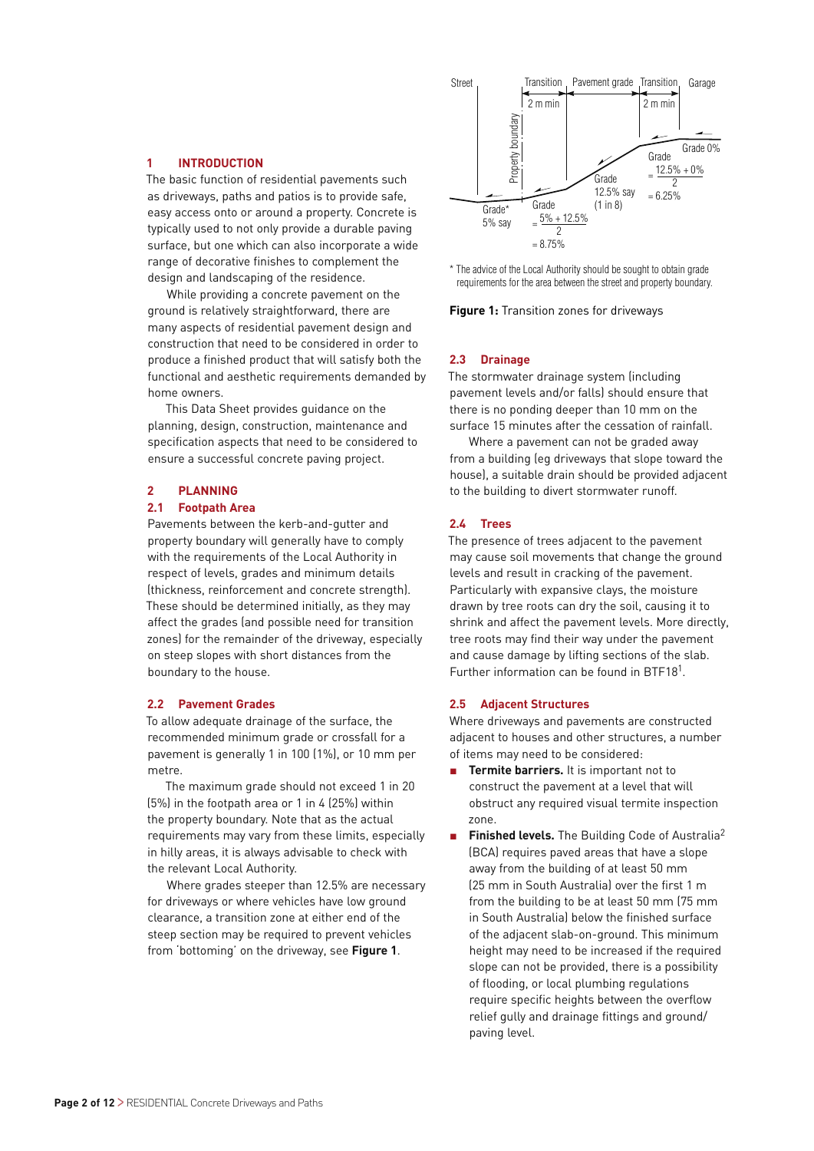#### **1 INTRODUCTION**

The basic function of residential pavements such as driveways, paths and patios is to provide safe, easy access onto or around a property. Concrete is typically used to not only provide a durable paving surface, but one which can also incorporate a wide range of decorative finishes to complement the design and landscaping of the residence.

While providing a concrete pavement on the ground is relatively straightforward, there are many aspects of residential pavement design and construction that need to be considered in order to produce a finished product that will satisfy both the functional and aesthetic requirements demanded by home owners.

This Data Sheet provides guidance on the planning, design, construction, maintenance and specification aspects that need to be considered to ensure a successful concrete paving project.

#### **2 PLANNING**

# **2.1 Footpath Area**

Pavements between the kerb-and-gutter and property boundary will generally have to comply with the requirements of the Local Authority in respect of levels, grades and minimum details (thickness, reinforcement and concrete strength). These should be determined initially, as they may affect the grades (and possible need for transition zones) for the remainder of the driveway, especially on steep slopes with short distances from the boundary to the house.

#### **2.2 Pavement Grades**

To allow adequate drainage of the surface, the recommended minimum grade or crossfall for a pavement is generally 1 in 100 (1%), or 10 mm per metre.

The maximum grade should not exceed 1 in 20 (5%) in the footpath area or 1 in 4 (25%) within the property boundary. Note that as the actual requirements may vary from these limits, especially in hilly areas, it is always advisable to check with the relevant Local Authority.

Where grades steeper than 12.5% are necessary for driveways or where vehicles have low ground clearance, a transition zone at either end of the steep section may be required to prevent vehicles from 'bottoming' on the driveway, see **Figure 1**.



\* The advice of the Local Authority should be sought to obtain grade requirements for the area between the street and property boundary.

**Figure 1:** Transition zones for driveways

#### **2.3 Drainage**

The stormwater drainage system (including pavement levels and/or falls) should ensure that there is no ponding deeper than 10 mm on the surface 15 minutes after the cessation of rainfall.

Where a pavement can not be graded away from a building (eg driveways that slope toward the house), a suitable drain should be provided adjacent to the building to divert stormwater runoff.

#### **2.4 Trees**

The presence of trees adjacent to the pavement may cause soil movements that change the ground levels and result in cracking of the pavement. Particularly with expansive clays, the moisture drawn by tree roots can dry the soil, causing it to shrink and affect the pavement levels. More directly, tree roots may find their way under the pavement and cause damage by lifting sections of the slab. Further information can be found in BTF18<sup>1</sup>.

#### **2.5 Adjacent Structures**

Where driveways and pavements are constructed adjacent to houses and other structures, a number of items may need to be considered:

- **n Termite barriers.** It is important not to construct the pavement at a level that will obstruct any required visual termite inspection zone.
- **Finished levels.** The Building Code of Australia<sup>2</sup> (BCA) requires paved areas that have a slope away from the building of at least 50 mm (25 mm in South Australia) over the first 1 m from the building to be at least 50 mm (75 mm in South Australia) below the finished surface of the adjacent slab-on-ground. This minimum height may need to be increased if the required slope can not be provided, there is a possibility of flooding, or local plumbing regulations require specific heights between the overflow relief gully and drainage fittings and ground/ paving level.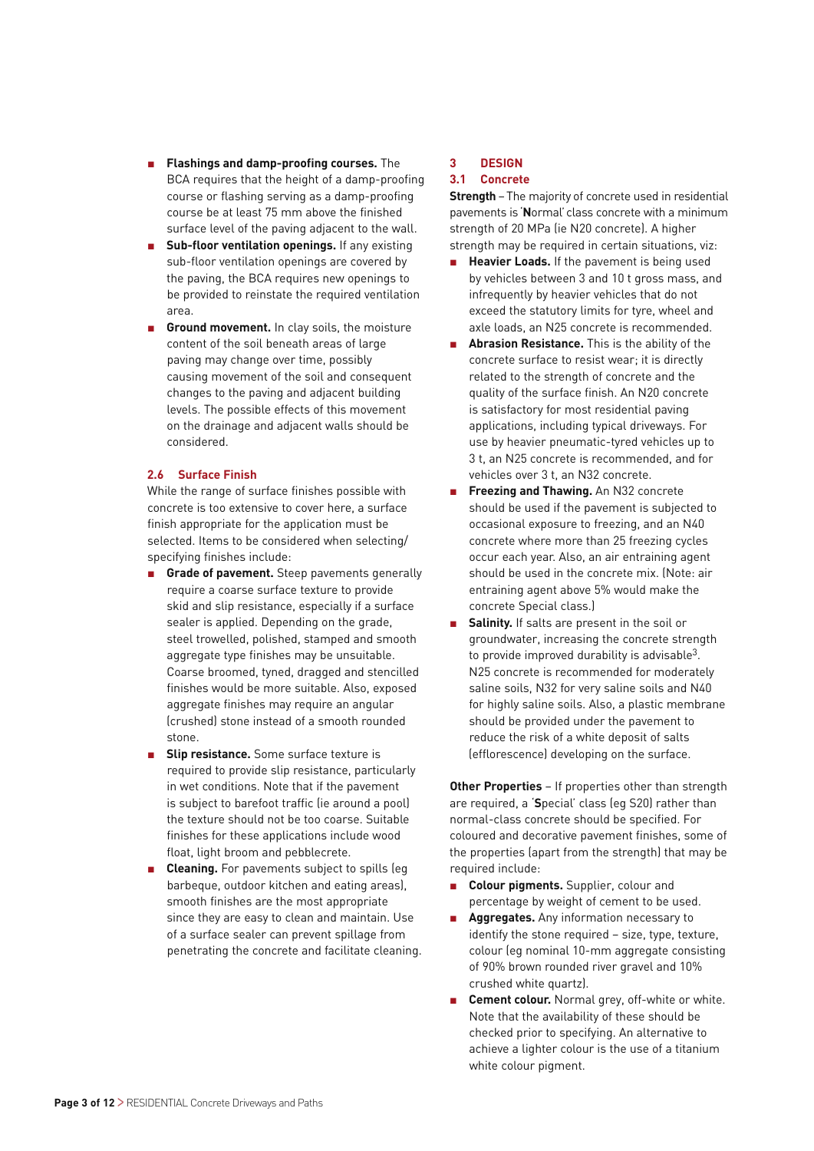- <sup>n</sup> **Flashings and damp-proofing courses.** The BCA requires that the height of a damp-proofing course or flashing serving as a damp-proofing course be at least 75 mm above the finished surface level of the paving adjacent to the wall.
- **Sub-floor ventilation openings.** If any existing sub-floor ventilation openings are covered by the paving, the BCA requires new openings to be provided to reinstate the required ventilation area.
- **Ground movement.** In clay soils, the moisture content of the soil beneath areas of large paving may change over time, possibly causing movement of the soil and consequent changes to the paving and adjacent building levels. The possible effects of this movement on the drainage and adjacent walls should be considered.

#### **2.6 Surface Finish**

While the range of surface finishes possible with concrete is too extensive to cover here, a surface finish appropriate for the application must be selected. Items to be considered when selecting/ specifying finishes include:

- **n** Grade of pavement. Steep pavements generally require a coarse surface texture to provide skid and slip resistance, especially if a surface sealer is applied. Depending on the grade, steel trowelled, polished, stamped and smooth aggregate type finishes may be unsuitable. Coarse broomed, tyned, dragged and stencilled finishes would be more suitable. Also, exposed aggregate finishes may require an angular (crushed) stone instead of a smooth rounded stone.
- **Slip resistance.** Some surface texture is required to provide slip resistance, particularly in wet conditions. Note that if the pavement is subject to barefoot traffic (ie around a pool) the texture should not be too coarse. Suitable finishes for these applications include wood float, light broom and pebblecrete.
- **Cleaning.** For pavements subject to spills (eq. barbeque, outdoor kitchen and eating areas), smooth finishes are the most appropriate since they are easy to clean and maintain. Use of a surface sealer can prevent spillage from penetrating the concrete and facilitate cleaning.

# **3 DESIGN**

#### **3.1 Concrete**

**Strength** – The majority of concrete used in residential pavements is'**N**ormal'class concrete with a minimum strength of 20 MPa (ie N20 concrete). A higher strength may be required in certain situations, viz:

- **Heavier Loads.** If the pavement is being used by vehicles between 3 and 10 t gross mass, and infrequently by heavier vehicles that do not exceed the statutory limits for tyre, wheel and axle loads, an N25 concrete is recommended.
- **n Abrasion Resistance.** This is the ability of the concrete surface to resist wear; it is directly related to the strength of concrete and the quality of the surface finish. An N20 concrete is satisfactory for most residential paving applications, including typical driveways. For use by heavier pneumatic-tyred vehicles up to 3 t, an N25 concrete is recommended, and for vehicles over 3 t, an N32 concrete.
- <sup>n</sup> **Freezing and Thawing.** An N32 concrete should be used if the pavement is subjected to occasional exposure to freezing, and an N40 concrete where more than 25 freezing cycles occur each year. Also, an air entraining agent should be used in the concrete mix. (Note: air entraining agent above 5% would make the concrete Special class.)
- **salinity.** If salts are present in the soil or groundwater, increasing the concrete strength to provide improved durability is advisable<sup>3</sup>. N25 concrete is recommended for moderately saline soils, N32 for very saline soils and N40 for highly saline soils. Also, a plastic membrane should be provided under the pavement to reduce the risk of a white deposit of salts (efflorescence) developing on the surface.

**Other Properties** – If properties other than strength are required, a '**S**pecial' class (eg S20) rather than normal-class concrete should be specified. For coloured and decorative pavement finishes, some of the properties (apart from the strength) that may be required include:

- **n Colour pigments.** Supplier, colour and percentage by weight of cement to be used.
- **Aggregates.** Any information necessary to identify the stone required – size, type, texture, colour (eg nominal 10-mm aggregate consisting of 90% brown rounded river gravel and 10% crushed white quartz).
- **n Cement colour.** Normal grey, off-white or white. Note that the availability of these should be checked prior to specifying. An alternative to achieve a lighter colour is the use of a titanium white colour pigment.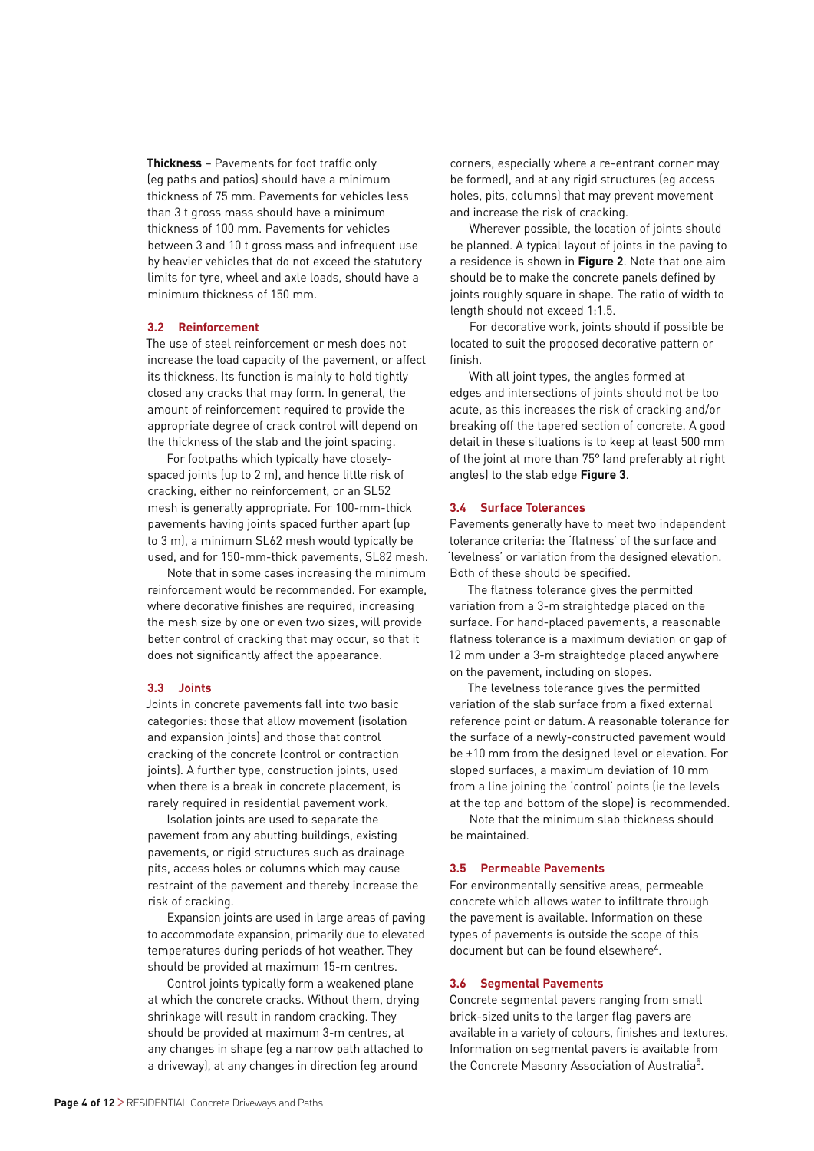**Thickness** – Pavements for foot traffic only (eg paths and patios) should have a minimum thickness of 75 mm. Pavements for vehicles less than 3 t gross mass should have a minimum thickness of 100 mm. Pavements for vehicles between 3 and 10 t gross mass and infrequent use by heavier vehicles that do not exceed the statutory limits for tyre, wheel and axle loads, should have a minimum thickness of 150 mm.

#### **3.2 Reinforcement**

The use of steel reinforcement or mesh does not increase the load capacity of the pavement, or affect its thickness. Its function is mainly to hold tightly closed any cracks that may form. In general, the amount of reinforcement required to provide the appropriate degree of crack control will depend on the thickness of the slab and the joint spacing.

For footpaths which typically have closelyspaced joints (up to 2 m), and hence little risk of cracking, either no reinforcement, or an SL52 mesh is generally appropriate. For 100-mm-thick pavements having joints spaced further apart (up to 3 m), a minimum SL62 mesh would typically be used, and for 150-mm-thick pavements, SL82 mesh.

Note that in some cases increasing the minimum reinforcement would be recommended. For example, where decorative finishes are required, increasing the mesh size by one or even two sizes, will provide better control of cracking that may occur, so that it does not significantly affect the appearance.

#### **3.3 Joints**

Joints in concrete pavements fall into two basic categories: those that allow movement (isolation and expansion joints) and those that control cracking of the concrete (control or contraction joints). A further type, construction joints, used when there is a break in concrete placement, is rarely required in residential pavement work.

Isolation joints are used to separate the pavement from any abutting buildings, existing pavements, or rigid structures such as drainage pits, access holes or columns which may cause restraint of the pavement and thereby increase the risk of cracking.

Expansion joints are used in large areas of paving to accommodate expansion, primarily due to elevated temperatures during periods of hot weather. They should be provided at maximum 15-m centres.

Control joints typically form a weakened plane at which the concrete cracks. Without them, drying shrinkage will result in random cracking. They should be provided at maximum 3-m centres, at any changes in shape (eg a narrow path attached to a driveway), at any changes in direction (eg around

corners, especially where a re-entrant corner may be formed), and at any rigid structures (eg access holes, pits, columns) that may prevent movement and increase the risk of cracking.

Wherever possible, the location of joints should be planned. A typical layout of joints in the paving to a residence is shown in **Figure 2**. Note that one aim should be to make the concrete panels defined by joints roughly square in shape. The ratio of width to length should not exceed 1:1.5.

For decorative work, joints should if possible be located to suit the proposed decorative pattern or finish.

With all joint types, the angles formed at edges and intersections of joints should not be too acute, as this increases the risk of cracking and/or breaking off the tapered section of concrete. A good detail in these situations is to keep at least 500 mm of the joint at more than 75° (and preferably at right angles) to the slab edge **Figure 3**.

#### **3.4 Surface Tolerances**

Pavements generally have to meet two independent tolerance criteria: the 'flatness' of the surface and 'levelness' or variation from the designed elevation. Both of these should be specified.

The flatness tolerance gives the permitted variation from a 3-m straightedge placed on the surface. For hand-placed pavements, a reasonable flatness tolerance is a maximum deviation or gap of 12 mm under a 3-m straightedge placed anywhere on the pavement, including on slopes.

The levelness tolerance gives the permitted variation of the slab surface from a fixed external reference point or datum. A reasonable tolerance for the surface of a newly-constructed pavement would be ±10 mm from the designed level or elevation. For sloped surfaces, a maximum deviation of 10 mm from a line joining the 'control' points (ie the levels at the top and bottom of the slope) is recommended.

Note that the minimum slab thickness should be maintained.

# **3.5 Permeable Pavements**

For environmentally sensitive areas, permeable concrete which allows water to infiltrate through the pavement is available. Information on these types of pavements is outside the scope of this document but can be found elsewhere<sup>4</sup>.

# **3.6 Segmental Pavements**

Concrete segmental pavers ranging from small brick-sized units to the larger flag pavers are available in a variety of colours, finishes and textures. Information on segmental pavers is available from the Concrete Masonry Association of Australia<sup>5</sup>.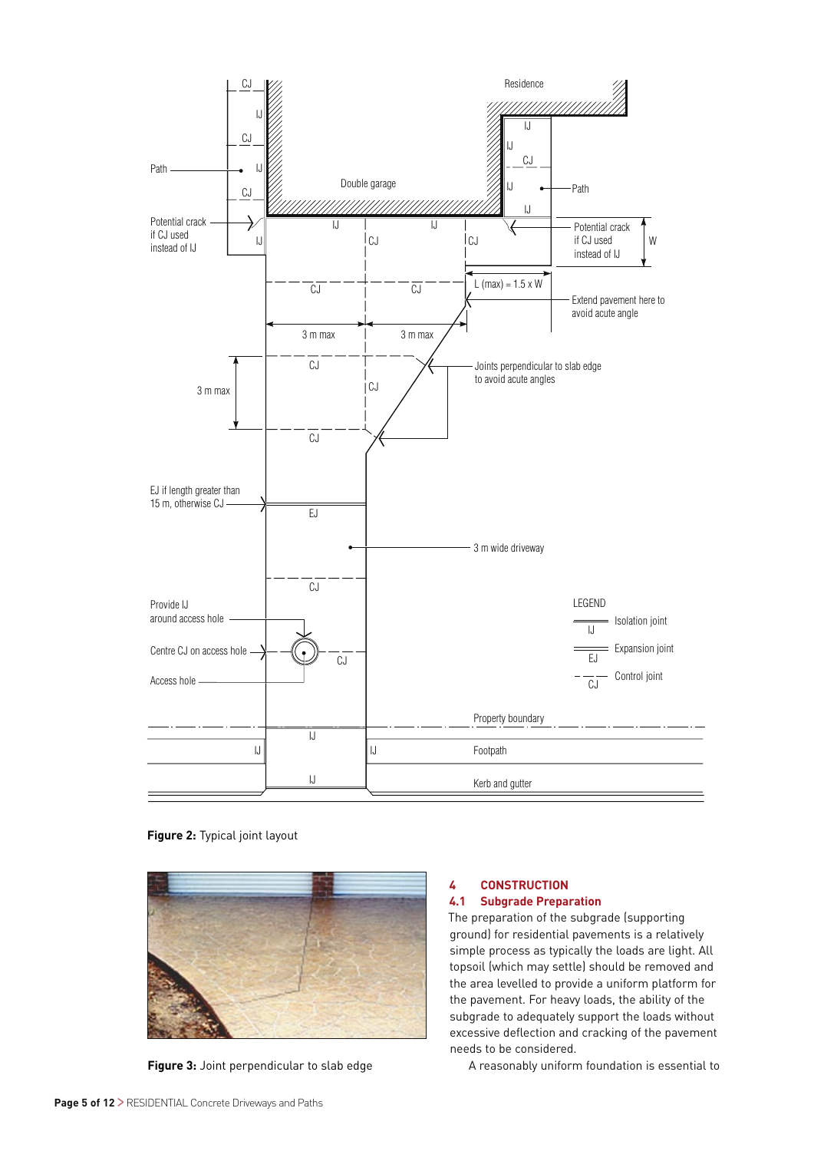

**Figure 2:** Typical joint layout



**Figure 3:** Joint perpendicular to slab edge

# **4 CONSTRUCTION**

# **4.1 Subgrade Preparation**

The preparation of the subgrade (supporting ground) for residential pavements is a relatively simple process as typically the loads are light. All topsoil (which may settle) should be removed and the area levelled to provide a uniform platform for the pavement. For heavy loads, the ability of the subgrade to adequately support the loads without excessive deflection and cracking of the pavement needs to be considered.

A reasonably uniform foundation is essential to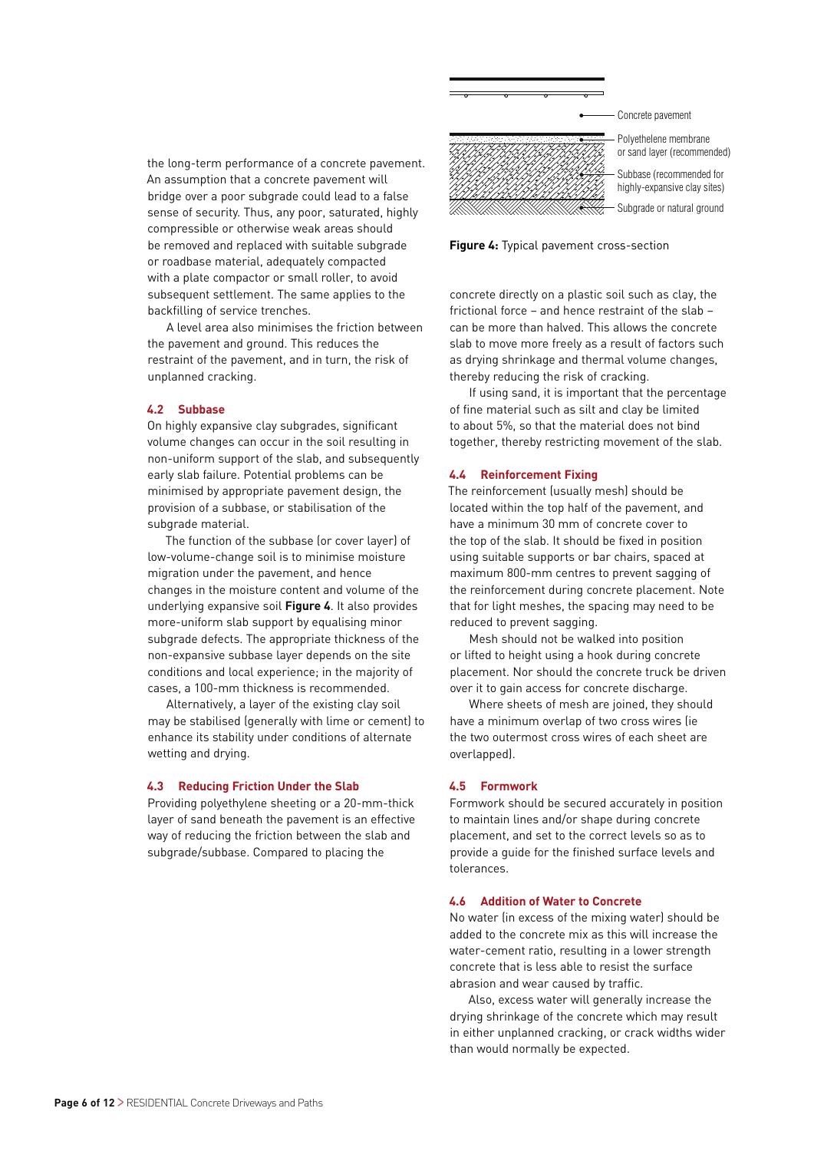the long-term performance of a concrete pavement. An assumption that a concrete pavement will bridge over a poor subgrade could lead to a false sense of security. Thus, any poor, saturated, highly compressible or otherwise weak areas should be removed and replaced with suitable subgrade or roadbase material, adequately compacted with a plate compactor or small roller, to avoid subsequent settlement. The same applies to the backfilling of service trenches.

A level area also minimises the friction between the pavement and ground. This reduces the restraint of the pavement, and in turn, the risk of unplanned cracking.

#### **4.2 Subbase**

On highly expansive clay subgrades, significant volume changes can occur in the soil resulting in non-uniform support of the slab, and subsequently early slab failure. Potential problems can be minimised by appropriate pavement design, the provision of a subbase, or stabilisation of the subgrade material.

The function of the subbase (or cover layer) of low-volume-change soil is to minimise moisture migration under the pavement, and hence changes in the moisture content and volume of the underlying expansive soil **Figure 4**. It also provides more-uniform slab support by equalising minor subgrade defects. The appropriate thickness of the non-expansive subbase layer depends on the site conditions and local experience; in the majority of cases, a 100-mm thickness is recommended.

Alternatively, a layer of the existing clay soil may be stabilised (generally with lime or cement) to enhance its stability under conditions of alternate wetting and drying.

#### **4.3 Reducing Friction Under the Slab**

Providing polyethylene sheeting or a 20-mm-thick layer of sand beneath the pavement is an effective way of reducing the friction between the slab and subgrade/subbase. Compared to placing the



**Figure 4:** Typical pavement cross-section

concrete directly on a plastic soil such as clay, the frictional force – and hence restraint of the slab – can be more than halved. This allows the concrete slab to move more freely as a result of factors such as drying shrinkage and thermal volume changes, thereby reducing the risk of cracking.

If using sand, it is important that the percentage of fine material such as silt and clay be limited to about 5%, so that the material does not bind together, thereby restricting movement of the slab.

#### **4.4 Reinforcement Fixing**

The reinforcement (usually mesh) should be located within the top half of the pavement, and have a minimum 30 mm of concrete cover to the top of the slab. It should be fixed in position using suitable supports or bar chairs, spaced at maximum 800‑mm centres to prevent sagging of the reinforcement during concrete placement. Note that for light meshes, the spacing may need to be reduced to prevent sagging.

Mesh should not be walked into position or lifted to height using a hook during concrete placement. Nor should the concrete truck be driven over it to gain access for concrete discharge.

Where sheets of mesh are joined, they should have a minimum overlap of two cross wires (ie the two outermost cross wires of each sheet are overlapped).

#### **4.5 Formwork**

Formwork should be secured accurately in position to maintain lines and/or shape during concrete placement, and set to the correct levels so as to provide a guide for the finished surface levels and tolerances.

#### **4.6 Addition of Water to Concrete**

No water (in excess of the mixing water) should be added to the concrete mix as this will increase the water-cement ratio, resulting in a lower strength concrete that is less able to resist the surface abrasion and wear caused by traffic.

Also, excess water will generally increase the drying shrinkage of the concrete which may result in either unplanned cracking, or crack widths wider than would normally be expected.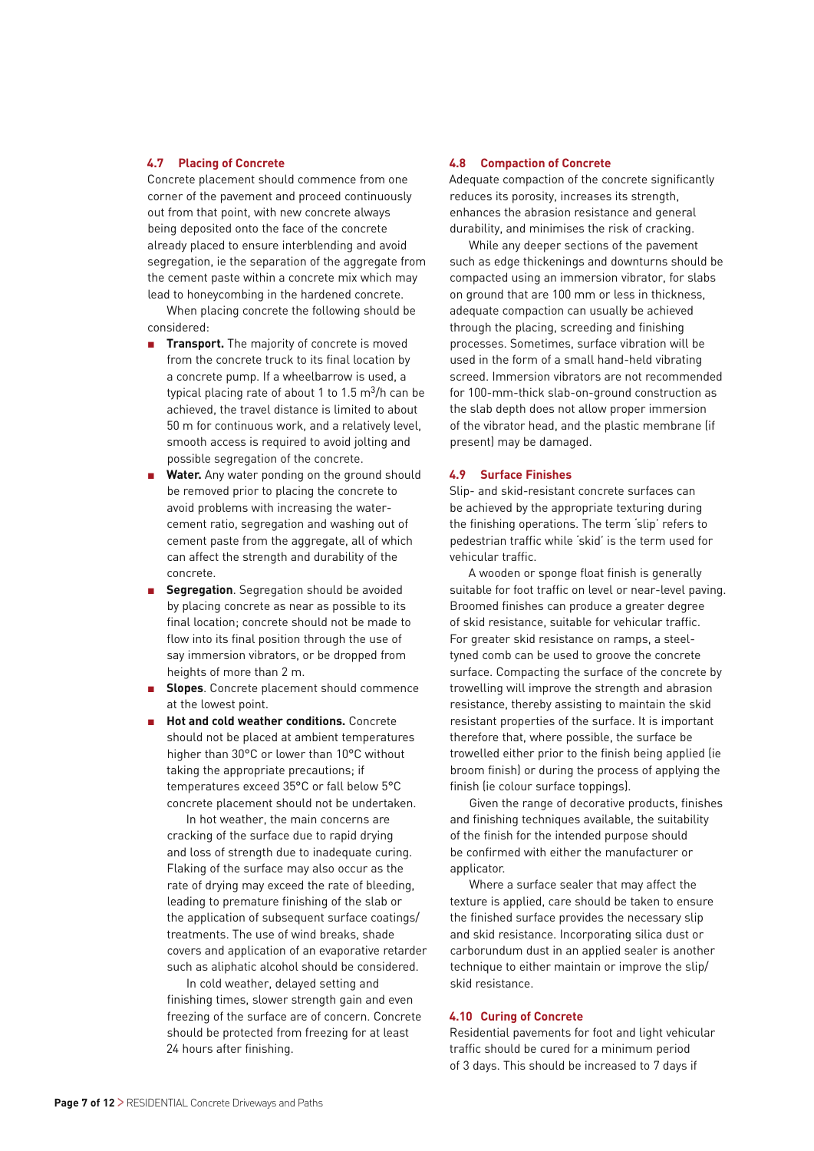#### **4.7 Placing of Concrete**

Concrete placement should commence from one corner of the pavement and proceed continuously out from that point, with new concrete always being deposited onto the face of the concrete already placed to ensure interblending and avoid segregation, ie the separation of the aggregate from the cement paste within a concrete mix which may lead to honeycombing in the hardened concrete.

When placing concrete the following should be considered:

- **n Transport.** The majority of concrete is moved from the concrete truck to its final location by a concrete pump. If a wheelbarrow is used, a typical placing rate of about 1 to 1.5  $m^3/h$  can be achieved, the travel distance is limited to about 50 m for continuous work, and a relatively level, smooth access is required to avoid jolting and possible segregation of the concrete.
- **Water.** Any water ponding on the ground should be removed prior to placing the concrete to avoid problems with increasing the watercement ratio, segregation and washing out of cement paste from the aggregate, all of which can affect the strength and durability of the concrete.
- **Segregation**. Segregation should be avoided by placing concrete as near as possible to its final location; concrete should not be made to flow into its final position through the use of say immersion vibrators, or be dropped from heights of more than 2 m.
- **Slopes**. Concrete placement should commence at the lowest point.
- <sup>n</sup> **Hot and cold weather conditions.** Concrete should not be placed at ambient temperatures higher than 30°C or lower than 10°C without taking the appropriate precautions; if temperatures exceed 35°C or fall below 5°C concrete placement should not be undertaken.

In hot weather, the main concerns are cracking of the surface due to rapid drying and loss of strength due to inadequate curing. Flaking of the surface may also occur as the rate of drying may exceed the rate of bleeding, leading to premature finishing of the slab or the application of subsequent surface coatings/ treatments. The use of wind breaks, shade covers and application of an evaporative retarder such as aliphatic alcohol should be considered.

In cold weather, delayed setting and finishing times, slower strength gain and even freezing of the surface are of concern. Concrete should be protected from freezing for at least 24 hours after finishing.

#### **4.8 Compaction of Concrete**

Adequate compaction of the concrete significantly reduces its porosity, increases its strength, enhances the abrasion resistance and general durability, and minimises the risk of cracking.

While any deeper sections of the pavement such as edge thickenings and downturns should be compacted using an immersion vibrator, for slabs on ground that are 100 mm or less in thickness, adequate compaction can usually be achieved through the placing, screeding and finishing processes. Sometimes, surface vibration will be used in the form of a small hand-held vibrating screed. Immersion vibrators are not recommended for 100-mm-thick slab-on-ground construction as the slab depth does not allow proper immersion of the vibrator head, and the plastic membrane (if present) may be damaged.

#### **4.9 Surface Finishes**

Slip- and skid-resistant concrete surfaces can be achieved by the appropriate texturing during the finishing operations. The term 'slip' refers to pedestrian traffic while 'skid' is the term used for vehicular traffic.

A wooden or sponge float finish is generally suitable for foot traffic on level or near-level paving. Broomed finishes can produce a greater degree of skid resistance, suitable for vehicular traffic. For greater skid resistance on ramps, a steeltyned comb can be used to groove the concrete surface. Compacting the surface of the concrete by trowelling will improve the strength and abrasion resistance, thereby assisting to maintain the skid resistant properties of the surface. It is important therefore that, where possible, the surface be trowelled either prior to the finish being applied (ie broom finish) or during the process of applying the finish (ie colour surface toppings).

Given the range of decorative products, finishes and finishing techniques available, the suitability of the finish for the intended purpose should be confirmed with either the manufacturer or applicator.

Where a surface sealer that may affect the texture is applied, care should be taken to ensure the finished surface provides the necessary slip and skid resistance. Incorporating silica dust or carborundum dust in an applied sealer is another technique to either maintain or improve the slip/ skid resistance.

#### **4.10 Curing of Concrete**

Residential pavements for foot and light vehicular traffic should be cured for a minimum period of 3 days. This should be increased to 7 days if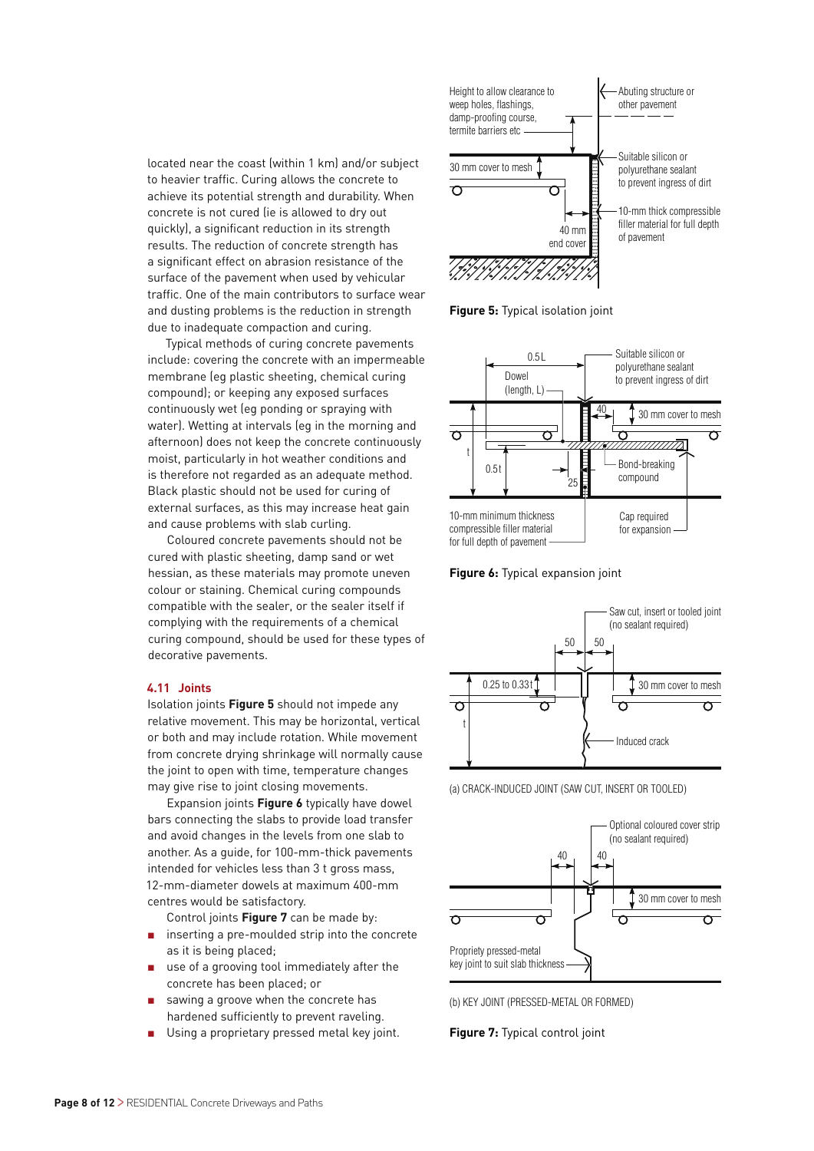located near the coast (within 1 km) and/or subject to heavier traffic. Curing allows the concrete to achieve its potential strength and durability. When concrete is not cured (ie is allowed to dry out quickly), a significant reduction in its strength results. The reduction of concrete strength has a significant effect on abrasion resistance of the surface of the pavement when used by vehicular traffic. One of the main contributors to surface wear and dusting problems is the reduction in strength due to inadequate compaction and curing.

Typical methods of curing concrete pavements include: covering the concrete with an impermeable membrane (eg plastic sheeting, chemical curing compound); or keeping any exposed surfaces continuously wet (eg ponding or spraying with water). Wetting at intervals (eg in the morning and afternoon) does not keep the concrete continuously moist, particularly in hot weather conditions and is therefore not regarded as an adequate method. Black plastic should not be used for curing of external surfaces, as this may increase heat gain and cause problems with slab curling.

Coloured concrete pavements should not be cured with plastic sheeting, damp sand or wet hessian, as these materials may promote uneven colour or staining. Chemical curing compounds compatible with the sealer, or the sealer itself if complying with the requirements of a chemical curing compound, should be used for these types of decorative pavements.

#### **4.11 Joints**

Isolation joints **Figure 5** should not impede any relative movement. This may be horizontal, vertical or both and may include rotation. While movement from concrete drying shrinkage will normally cause the joint to open with time, temperature changes may give rise to joint closing movements.

Expansion joints **Figure 6** typically have dowel bars connecting the slabs to provide load transfer and avoid changes in the levels from one slab to another. As a guide, for 100-mm-thick pavements intended for vehicles less than 3 t gross mass, 12-mm-diameter dowels at maximum 400-mm centres would be satisfactory.

Control joints **Figure 7** can be made by:

- inserting a pre-moulded strip into the concrete as it is being placed;
- use of a grooving tool immediately after the concrete has been placed; or
- sawing a groove when the concrete has hardened sufficiently to prevent raveling.
- Using a proprietary pressed metal key joint.



**Figure 5:** Typical isolation joint



**Figure 6:** Typical expansion joint



(a) CRACK-INDUCED JOINT (SAW CUT, INSERT OR TOOLED)



(b) KEY JOINT (PRESSED-METAL OR FORMED)

**Figure 7:** Typical control joint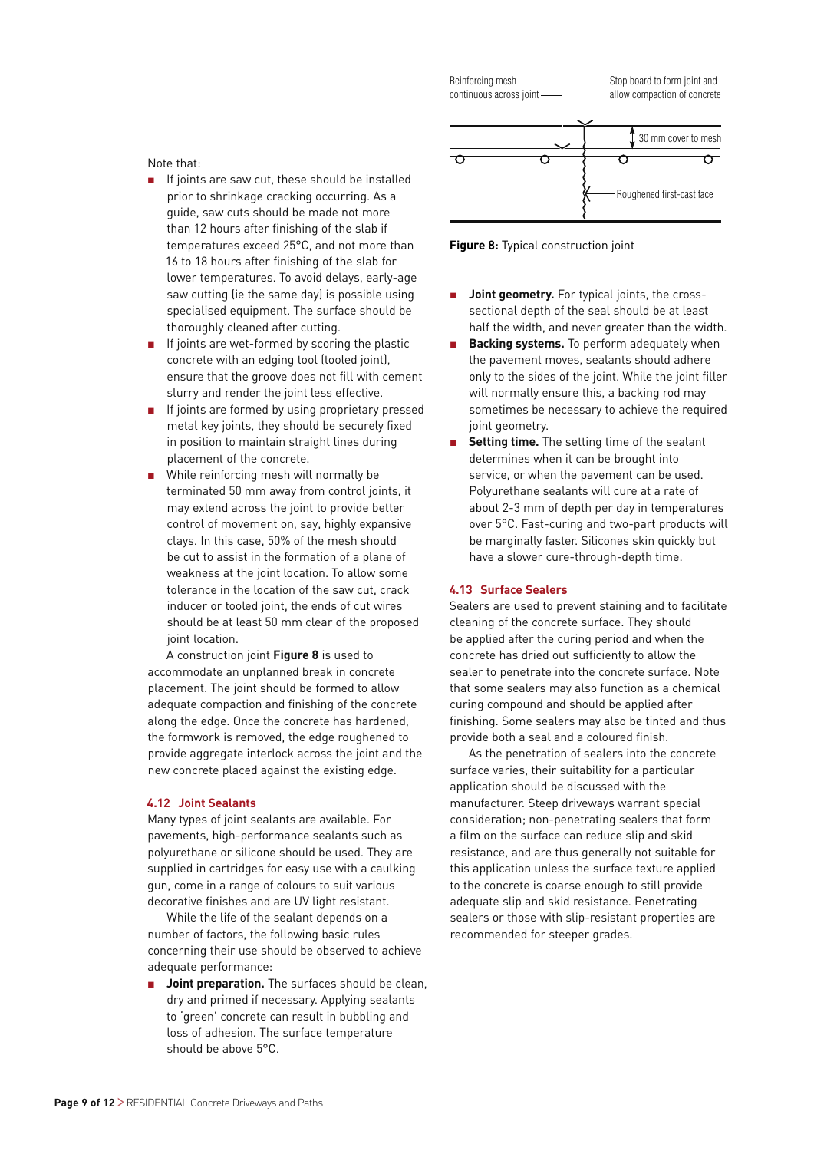

**Figure 8:** Typical construction joint

- **n** Joint geometry. For typical joints, the crosssectional depth of the seal should be at least half the width, and never greater than the width.
- **Backing systems.** To perform adequately when the pavement moves, sealants should adhere only to the sides of the joint. While the joint filler will normally ensure this, a backing rod may sometimes be necessary to achieve the required joint geometry.
- **n** Setting time. The setting time of the sealant determines when it can be brought into service, or when the pavement can be used. Polyurethane sealants will cure at a rate of about 2-3 mm of depth per day in temperatures over 5°C. Fast-curing and two-part products will be marginally faster. Silicones skin quickly but have a slower cure-through-depth time.

#### **4.13 Surface Sealers**

Sealers are used to prevent staining and to facilitate cleaning of the concrete surface. They should be applied after the curing period and when the concrete has dried out sufficiently to allow the sealer to penetrate into the concrete surface. Note that some sealers may also function as a chemical curing compound and should be applied after finishing. Some sealers may also be tinted and thus provide both a seal and a coloured finish.

As the penetration of sealers into the concrete surface varies, their suitability for a particular application should be discussed with the manufacturer. Steep driveways warrant special consideration; non-penetrating sealers that form a film on the surface can reduce slip and skid resistance, and are thus generally not suitable for this application unless the surface texture applied to the concrete is coarse enough to still provide adequate slip and skid resistance. Penetrating sealers or those with slip-resistant properties are recommended for steeper grades.

Note that:

- $\blacksquare$  If joints are saw cut, these should be installed prior to shrinkage cracking occurring. As a guide, saw cuts should be made not more than 12 hours after finishing of the slab if temperatures exceed 25°C, and not more than 16 to 18 hours after finishing of the slab for lower temperatures. To avoid delays, early-age saw cutting (ie the same day) is possible using specialised equipment. The surface should be thoroughly cleaned after cutting.
- If joints are wet-formed by scoring the plastic concrete with an edging tool (tooled joint), ensure that the groove does not fill with cement slurry and render the joint less effective.
- If joints are formed by using proprietary pressed metal key joints, they should be securely fixed in position to maintain straight lines during placement of the concrete.
- While reinforcing mesh will normally be terminated 50 mm away from control joints, it may extend across the joint to provide better control of movement on, say, highly expansive clays. In this case, 50% of the mesh should be cut to assist in the formation of a plane of weakness at the joint location. To allow some tolerance in the location of the saw cut, crack inducer or tooled joint, the ends of cut wires should be at least 50 mm clear of the proposed joint location.

A construction joint **Figure 8** is used to accommodate an unplanned break in concrete placement. The joint should be formed to allow adequate compaction and finishing of the concrete along the edge. Once the concrete has hardened, the formwork is removed, the edge roughened to provide aggregate interlock across the joint and the new concrete placed against the existing edge.

#### **4.12 Joint Sealants**

Many types of joint sealants are available. For pavements, high-performance sealants such as polyurethane or silicone should be used. They are supplied in cartridges for easy use with a caulking gun, come in a range of colours to suit various decorative finishes and are UV light resistant.

While the life of the sealant depends on a number of factors, the following basic rules concerning their use should be observed to achieve adequate performance:

**n** Joint preparation. The surfaces should be clean, dry and primed if necessary. Applying sealants to 'green' concrete can result in bubbling and loss of adhesion. The surface temperature should be above 5°C.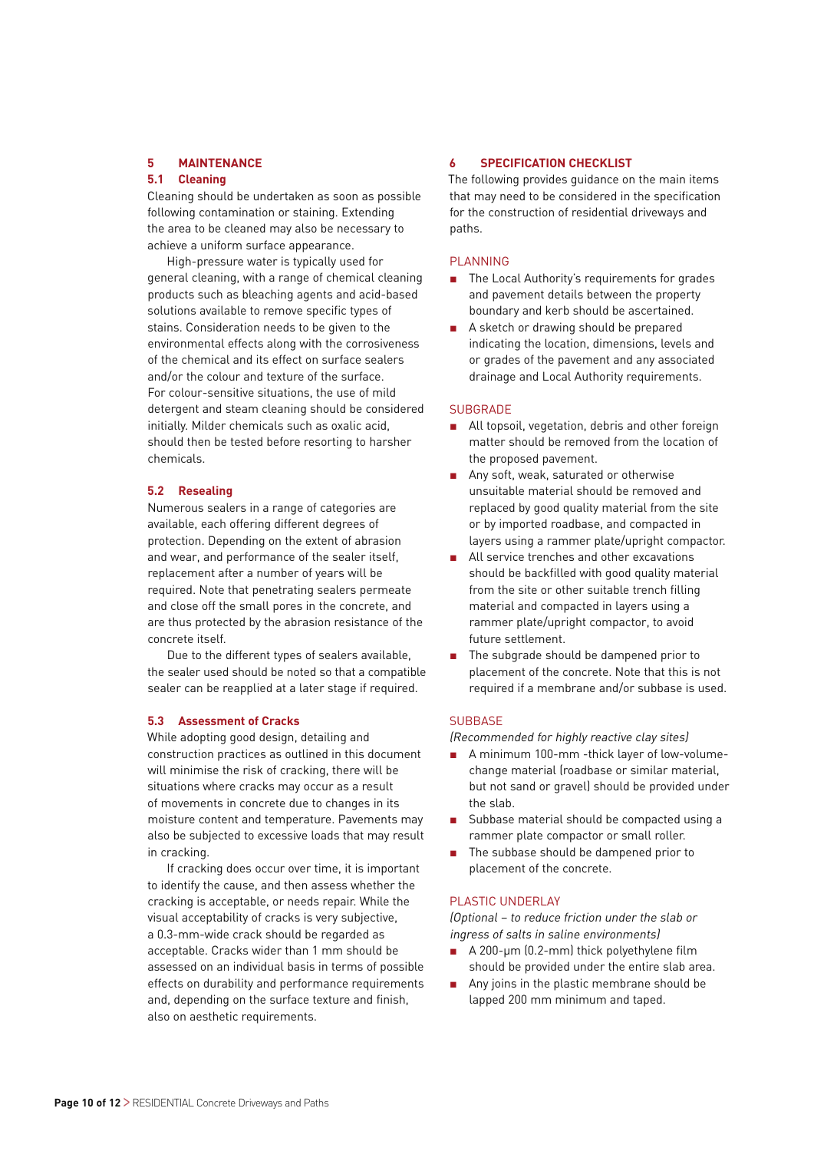# **5** MAINTENANCE

#### **5.1 Cleaning**

Cleaning should be undertaken as soon as possible following contamination or staining. Extending the area to be cleaned may also be necessary to achieve a uniform surface appearance.

High-pressure water is typically used for general cleaning, with a range of chemical cleaning products such as bleaching agents and acid-based solutions available to remove specific types of stains. Consideration needs to be given to the environmental effects along with the corrosiveness of the chemical and its effect on surface sealers and/or the colour and texture of the surface. For colour-sensitive situations, the use of mild detergent and steam cleaning should be considered initially. Milder chemicals such as oxalic acid, should then be tested before resorting to harsher chemicals.

#### **5.2 Resealing**

Numerous sealers in a range of categories are available, each offering different degrees of protection. Depending on the extent of abrasion and wear, and performance of the sealer itself, replacement after a number of years will be required. Note that penetrating sealers permeate and close off the small pores in the concrete, and are thus protected by the abrasion resistance of the concrete itself.

Due to the different types of sealers available, the sealer used should be noted so that a compatible sealer can be reapplied at a later stage if required.

#### **5.3 Assessment of Cracks**

While adopting good design, detailing and construction practices as outlined in this document will minimise the risk of cracking, there will be situations where cracks may occur as a result of movements in concrete due to changes in its moisture content and temperature. Pavements may also be subjected to excessive loads that may result in cracking.

If cracking does occur over time, it is important to identify the cause, and then assess whether the cracking is acceptable, or needs repair. While the visual acceptability of cracks is very subjective, a 0.3-mm-wide crack should be regarded as acceptable. Cracks wider than 1 mm should be assessed on an individual basis in terms of possible effects on durability and performance requirements and, depending on the surface texture and finish, also on aesthetic requirements.

#### **6 SPECIFICATION CHECKLIST**

The following provides guidance on the main items that may need to be considered in the specification for the construction of residential driveways and paths.

#### **PLANNING**

- The Local Authority's requirements for grades and pavement details between the property boundary and kerb should be ascertained.
- A sketch or drawing should be prepared indicating the location, dimensions, levels and or grades of the pavement and any associated drainage and Local Authority requirements.

#### **SUBGRADE**

- All topsoil, vegetation, debris and other foreign matter should be removed from the location of the proposed pavement.
- Any soft, weak, saturated or otherwise unsuitable material should be removed and replaced by good quality material from the site or by imported roadbase, and compacted in layers using a rammer plate/upright compactor.
- $\blacksquare$  All service trenches and other excavations should be backfilled with good quality material from the site or other suitable trench filling material and compacted in layers using a rammer plate/upright compactor, to avoid future settlement.
- The subgrade should be dampened prior to placement of the concrete. Note that this is not required if a membrane and/or subbase is used.

#### **SUBBASE**

(Recommended for highly reactive clay sites)

- <sup>n</sup> A minimum 100-mm -thick layer of low-volumechange material (roadbase or similar material, but not sand or gravel) should be provided under the slab.
- Subbase material should be compacted using a rammer plate compactor or small roller.
- The subbase should be dampened prior to placement of the concrete.

#### PLASTIC UNDERLAY

(Optional – to reduce friction under the slab or ingress of salts in saline environments)

- <sup>n</sup> A 200-μm (0.2-mm) thick polyethylene film should be provided under the entire slab area.
- **n** Any joins in the plastic membrane should be lapped 200 mm minimum and taped.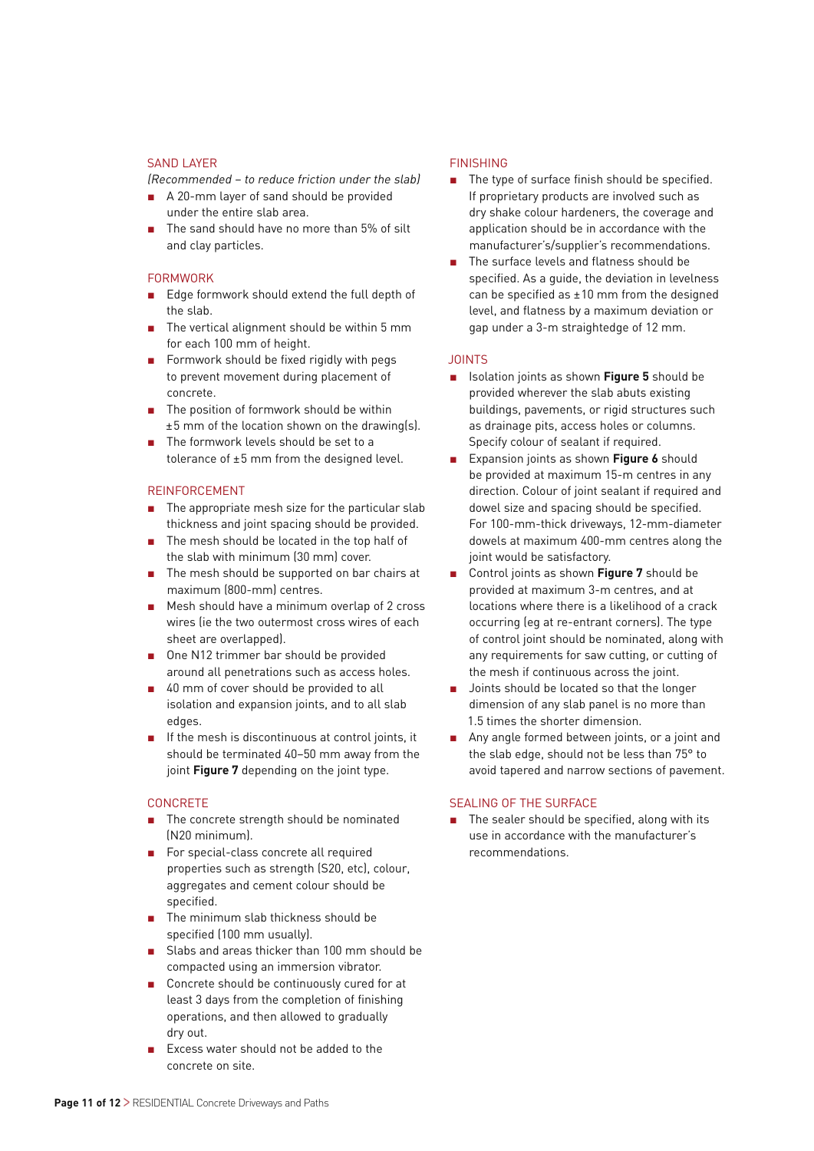#### SAND LAYER

(Recommended – to reduce friction under the slab)

- A 20-mm layer of sand should be provided under the entire slab area.
- The sand should have no more than 5% of silt and clay particles.

#### Formwork

- Edge formwork should extend the full depth of the slab.
- $\blacksquare$  The vertical alignment should be within 5 mm for each 100 mm of height.
- Formwork should be fixed rigidly with pegs to prevent movement during placement of concrete.
- The position of formwork should be within ±5 mm of the location shown on the drawing(s).
- The formwork levels should be set to a tolerance of ±5 mm from the designed level.

#### Reinforcement

- $\blacksquare$  The appropriate mesh size for the particular slab thickness and joint spacing should be provided.
- The mesh should be located in the top half of the slab with minimum (30 mm) cover.
- The mesh should be supported on bar chairs at maximum (800-mm) centres.
- Mesh should have a minimum overlap of 2 cross wires (ie the two outermost cross wires of each sheet are overlapped).
- One N12 trimmer bar should be provided around all penetrations such as access holes.
- 40 mm of cover should be provided to all isolation and expansion joints, and to all slab edges.
- If the mesh is discontinuous at control joints, it should be terminated 40–50 mm away from the joint **Figure 7** depending on the joint type.

#### CONCRETE

- The concrete strength should be nominated (N20 minimum).
- For special-class concrete all required properties such as strength (S20, etc), colour, aggregates and cement colour should be specified.
- $\blacksquare$  The minimum slab thickness should be specified (100 mm usually).
- Slabs and areas thicker than 100 mm should be compacted using an immersion vibrator.
- Concrete should be continuously cured for at least 3 days from the completion of finishing operations, and then allowed to gradually dry out.
- Excess water should not be added to the concrete on site.

#### Finishing

- $\blacksquare$  The type of surface finish should be specified. If proprietary products are involved such as dry shake colour hardeners, the coverage and application should be in accordance with the manufacturer's/supplier's recommendations.
- The surface levels and flatness should be specified. As a guide, the deviation in levelness can be specified as  $\pm 10$  mm from the designed level, and flatness by a maximum deviation or gap under a 3-m straightedge of 12 mm.

#### **JOINTS**

- Isolation joints as shown Figure 5 should be provided wherever the slab abuts existing buildings, pavements, or rigid structures such as drainage pits, access holes or columns. Specify colour of sealant if required.
- Expansion joints as shown Figure 6 should be provided at maximum 15-m centres in any direction. Colour of joint sealant if required and dowel size and spacing should be specified. For 100-mm-thick driveways, 12-mm-diameter dowels at maximum 400-mm centres along the joint would be satisfactory.
- Control joints as shown Figure 7 should be provided at maximum 3-m centres, and at locations where there is a likelihood of a crack occurring (eg at re-entrant corners). The type of control joint should be nominated, along with any requirements for saw cutting, or cutting of the mesh if continuous across the joint.
- **n** Joints should be located so that the longer dimension of any slab panel is no more than 1.5 times the shorter dimension.
- **n** Any angle formed between joints, or a joint and the slab edge, should not be less than 75° to avoid tapered and narrow sections of pavement.

#### Sealing of the Surface

 $\blacksquare$  The sealer should be specified, along with its use in accordance with the manufacturer's recommendations.